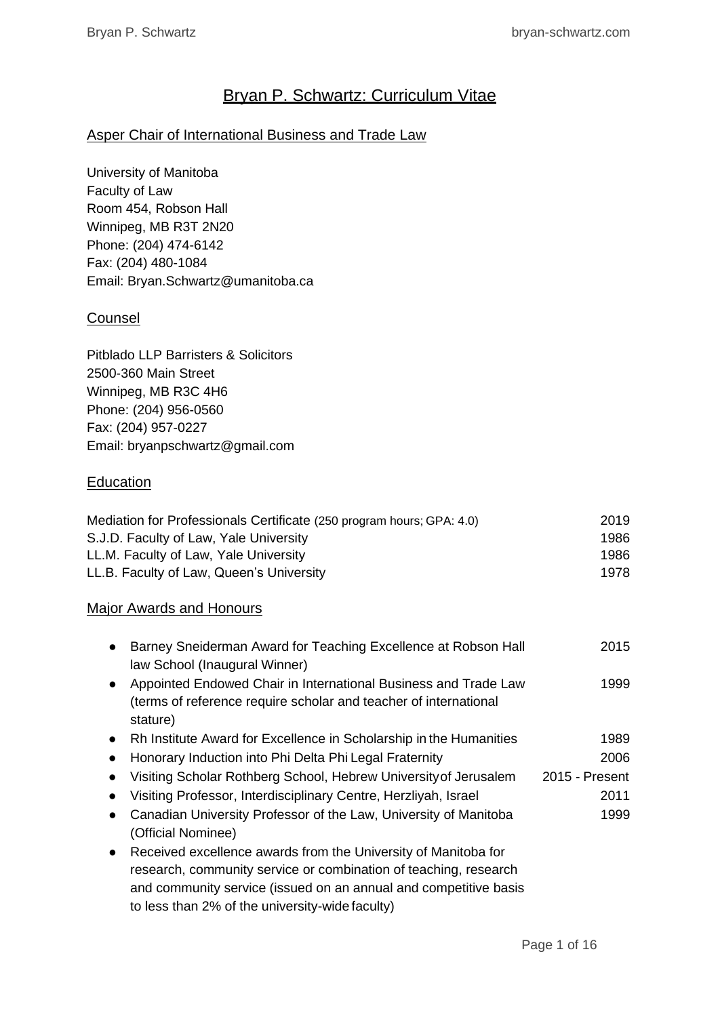# Bryan P. Schwartz: Curriculum Vitae

# Asper Chair of International Business and Trade Law

University of Manitoba Faculty of Law Room 454, Robson Hall Winnipeg, MB R3T 2N20 Phone: (204) 474-6142 Fax: (204) 480-1084 Ema[il: Bryan.Schwartz@umanitoba.ca](mailto:Bryan.Schwartz@umanitoba.ca)

# **Counsel**

Pitblado LLP Barristers & Solicitors 2500-360 Main Street Winnipeg, MB R3C 4H6 Phone: (204) 956-0560 Fax: (204) 957-0227 Ema[il: bryanpschwartz@gmail.com](mailto:bryanpschwartz@gmail.com)

### **Education**

| Mediation for Professionals Certificate (250 program hours; GPA: 4.0) | 2019 |
|-----------------------------------------------------------------------|------|
| S.J.D. Faculty of Law, Yale University                                | 1986 |
| LL.M. Faculty of Law, Yale University                                 | 1986 |
| LL.B. Faculty of Law, Queen's University                              | 1978 |

### Major Awards and Honours

|           | Barney Sneiderman Award for Teaching Excellence at Robson Hall<br>law School (Inaugural Winner)                                                                                                                                                           | 2015           |
|-----------|-----------------------------------------------------------------------------------------------------------------------------------------------------------------------------------------------------------------------------------------------------------|----------------|
| $\bullet$ | Appointed Endowed Chair in International Business and Trade Law<br>(terms of reference require scholar and teacher of international<br>stature)                                                                                                           | 1999           |
|           | Rh Institute Award for Excellence in Scholarship in the Humanities                                                                                                                                                                                        | 1989           |
|           | Honorary Induction into Phi Delta Phi Legal Fraternity                                                                                                                                                                                                    | 2006           |
|           | Visiting Scholar Rothberg School, Hebrew University of Jerusalem                                                                                                                                                                                          | 2015 - Present |
|           | Visiting Professor, Interdisciplinary Centre, Herzliyah, Israel                                                                                                                                                                                           | 2011           |
|           | Canadian University Professor of the Law, University of Manitoba<br>(Official Nominee)                                                                                                                                                                    | 1999           |
| $\bullet$ | Received excellence awards from the University of Manitoba for<br>research, community service or combination of teaching, research<br>and community service (issued on an annual and competitive basis<br>to less than 2% of the university-wide faculty) |                |
|           |                                                                                                                                                                                                                                                           |                |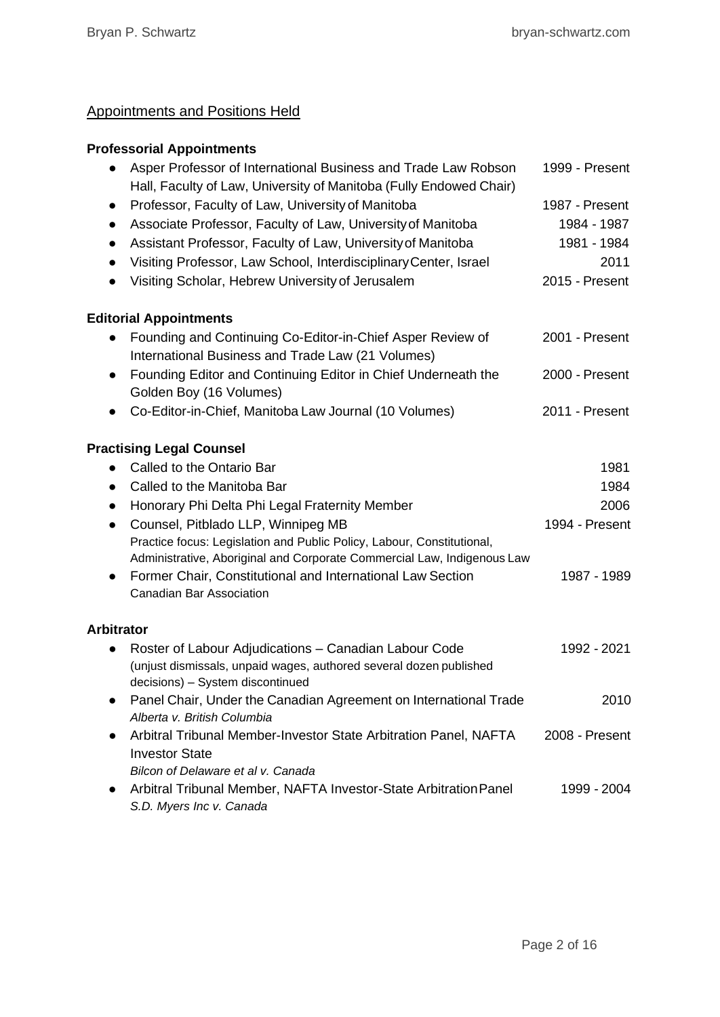# Appointments and Positions Held

# **Professorial Appointments**

| Asper Professor of International Business and Trade Law Robson<br>$\bullet$<br>Hall, Faculty of Law, University of Manitoba (Fully Endowed Chair) | 1999 - Present |
|---------------------------------------------------------------------------------------------------------------------------------------------------|----------------|
| Professor, Faculty of Law, University of Manitoba<br>$\bullet$                                                                                    | 1987 - Present |
| Associate Professor, Faculty of Law, University of Manitoba<br>$\bullet$                                                                          | 1984 - 1987    |
| Assistant Professor, Faculty of Law, University of Manitoba<br>$\bullet$                                                                          | 1981 - 1984    |
| Visiting Professor, Law School, Interdisciplinary Center, Israel                                                                                  | 2011           |
| Visiting Scholar, Hebrew University of Jerusalem                                                                                                  | 2015 - Present |
| <b>Editorial Appointments</b>                                                                                                                     |                |
| Founding and Continuing Co-Editor-in-Chief Asper Review of<br>International Business and Trade Law (21 Volumes)                                   | 2001 - Present |
| Founding Editor and Continuing Editor in Chief Underneath the<br>$\bullet$<br>Golden Boy (16 Volumes)                                             | 2000 - Present |
| Co-Editor-in-Chief, Manitoba Law Journal (10 Volumes)                                                                                             | 2011 - Present |
| <b>Practising Legal Counsel</b>                                                                                                                   |                |
| Called to the Ontario Bar                                                                                                                         | 1981           |
| Called to the Manitoba Bar<br>$\bullet$                                                                                                           | 1984           |
| Honorary Phi Delta Phi Legal Fraternity Member                                                                                                    | 2006           |
| Counsel, Pitblado LLP, Winnipeg MB<br>$\bullet$                                                                                                   | 1994 - Present |
| Practice focus: Legislation and Public Policy, Labour, Constitutional,                                                                            |                |
| Administrative, Aboriginal and Corporate Commercial Law, Indigenous Law                                                                           |                |
| Former Chair, Constitutional and International Law Section<br>$\bullet$<br><b>Canadian Bar Association</b>                                        | 1987 - 1989    |
| <b>Arbitrator</b>                                                                                                                                 |                |
| Roster of Labour Adjudications - Canadian Labour Code                                                                                             | 1992 - 2021    |
| (unjust dismissals, unpaid wages, authored several dozen published<br>decisions) - System discontinued                                            |                |
| Panel Chair, Under the Canadian Agreement on International Trade<br>Alberta v. British Columbia                                                   | 2010           |
| Arbitral Tribunal Member-Investor State Arbitration Panel, NAFTA<br><b>Investor State</b>                                                         | 2008 - Present |
| Bilcon of Delaware et al v. Canada                                                                                                                |                |
| Arbitral Tribunal Member, NAFTA Investor-State Arbitration Panel<br>S.D. Myers Inc v. Canada                                                      | 1999 - 2004    |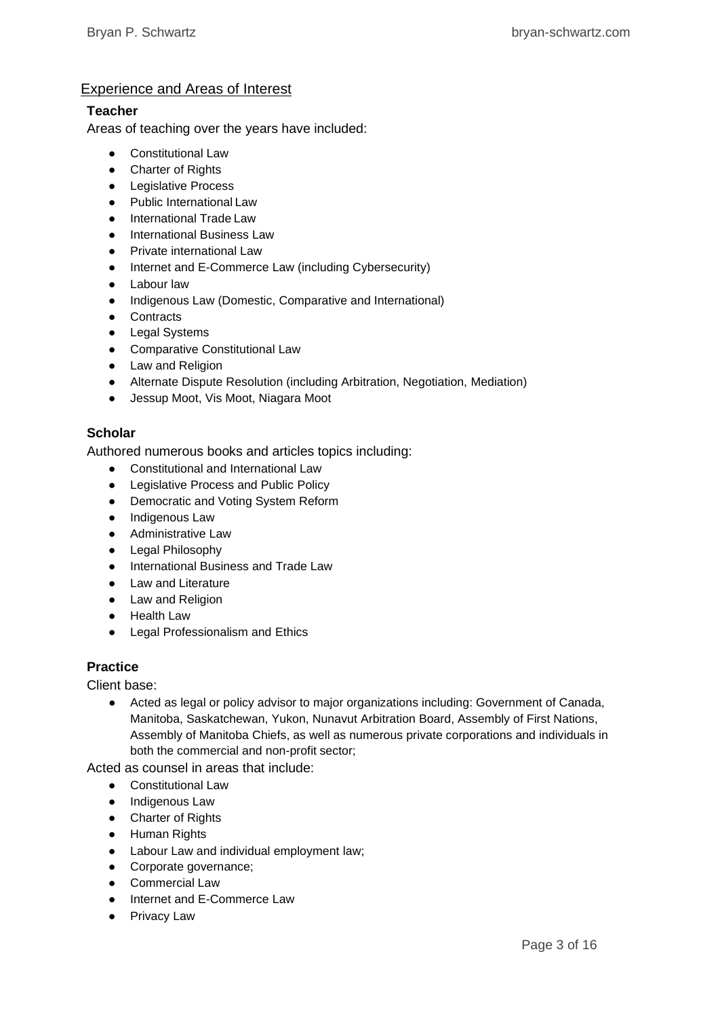# Experience and Areas of Interest

#### **Teacher**

Areas of teaching over the years have included:

- Constitutional Law
- Charter of Rights
- Legislative Process
- Public International Law
- International Trade Law
- International Business Law
- Private international Law
- Internet and E-Commerce Law (including Cybersecurity)
- Labour law
- Indigenous Law (Domestic, Comparative and International)
- Contracts
- Legal Systems
- Comparative Constitutional Law
- Law and Religion
- Alternate Dispute Resolution (including Arbitration, Negotiation, Mediation)
- Jessup Moot, Vis Moot, Niagara Moot

### **Scholar**

Authored numerous books and articles topics including:

- Constitutional and International Law
- Legislative Process and Public Policy
- Democratic and Voting System Reform
- Indigenous Law
- Administrative Law
- Legal Philosophy
- International Business and Trade Law
- Law and Literature
- Law and Religion
- Health Law
- Legal Professionalism and Ethics

# **Practice**

Client base:

● Acted as legal or policy advisor to major organizations including: Government of Canada, Manitoba, Saskatchewan, Yukon, Nunavut Arbitration Board, Assembly of First Nations, Assembly of Manitoba Chiefs, as well as numerous private corporations and individuals in both the commercial and non-profit sector;

Acted as counsel in areas that include:

- Constitutional Law
- Indigenous Law
- Charter of Rights
- Human Rights
- Labour Law and individual employment law;
- Corporate governance;
- Commercial Law
- Internet and E-Commerce Law
- Privacy Law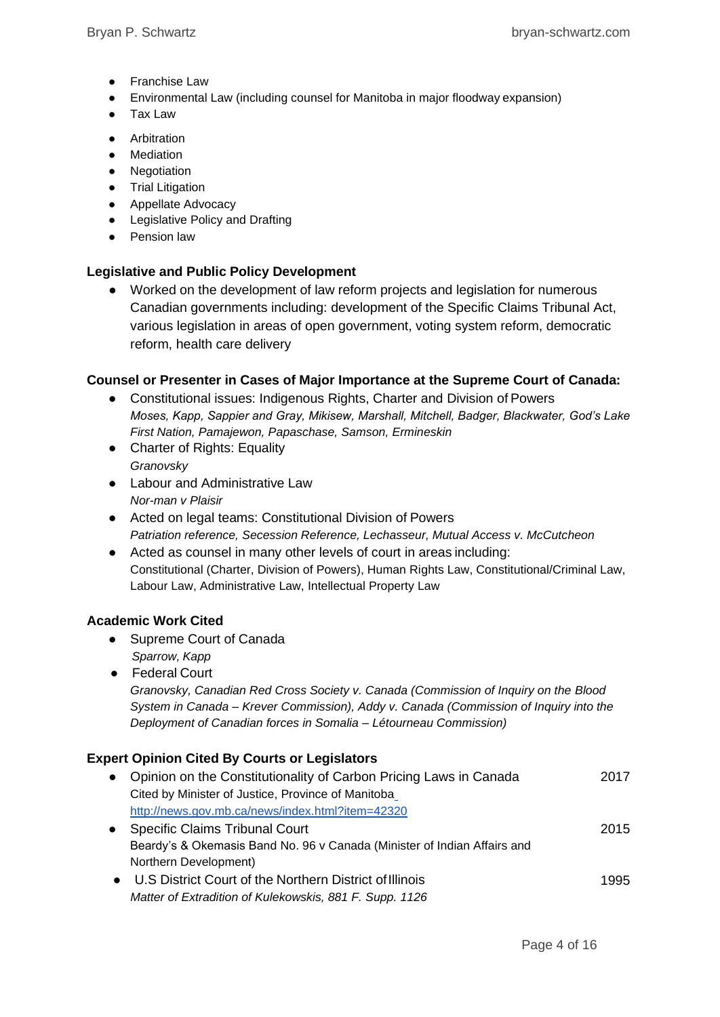- **Franchise Law**
- Environmental Law (including counsel for Manitoba in major floodway expansion)
- Tax Law
- Arbitration
- Mediation
- Negotiation
- Trial Litigation
- Appellate Advocacy
- Legislative Policy and Drafting
- Pension law

### **Legislative and Public Policy Development**

● Worked on the development of law reform projects and legislation for numerous Canadian governments including: development of the Specific Claims Tribunal Act, various legislation in areas of open government, voting system reform, democratic reform, health care delivery

# **Counsel or Presenter in Cases of Major Importance at the Supreme Court of Canada:**

- Constitutional issues: Indigenous Rights, Charter and Division of Powers *Moses, Kapp, Sappier and Gray, Mikisew, Marshall, Mitchell, Badger, Blackwater, God's Lake First Nation, Pamajewon, Papaschase, Samson, Ermineskin*
- Charter of Rights: Equality *Granovsky*
- Labour and Administrative Law *Nor-man v Plaisir*
- Acted on legal teams: Constitutional Division of Powers *Patriation reference, Secession Reference, Lechasseur, Mutual Access v. McCutcheon*
- Acted as counsel in many other levels of court in areas including: Constitutional (Charter, Division of Powers), Human Rights Law, Constitutional/Criminal Law, Labour Law, Administrative Law, Intellectual Property Law

### **Academic Work Cited**

- Supreme Court of Canada *Sparrow, Kapp*
- Federal Court

*Granovsky, Canadian Red Cross Society v. Canada (Commission of Inquiry on the Blood System in Canada – Krever Commission), Addy v. Canada (Commission of Inquiry into the Deployment of Canadian forces in Somalia – Létourneau Commission)*

### **Expert Opinion Cited By Courts or Legislators**

| $\bullet$ | Opinion on the Constitutionality of Carbon Pricing Laws in Canada        | 2017 |
|-----------|--------------------------------------------------------------------------|------|
|           | Cited by Minister of Justice, Province of Manitoba                       |      |
|           | http://news.gov.mb.ca/news/index.html?item=42320                         |      |
|           | <b>Specific Claims Tribunal Court</b>                                    | 2015 |
|           | Beardy's & Okemasis Band No. 96 v Canada (Minister of Indian Affairs and |      |
|           | Northern Development)                                                    |      |
|           | • U.S District Court of the Northern District of Illinois                | 1995 |
|           | Matter of Extradition of Kulekowskis, 881 F. Supp. 1126                  |      |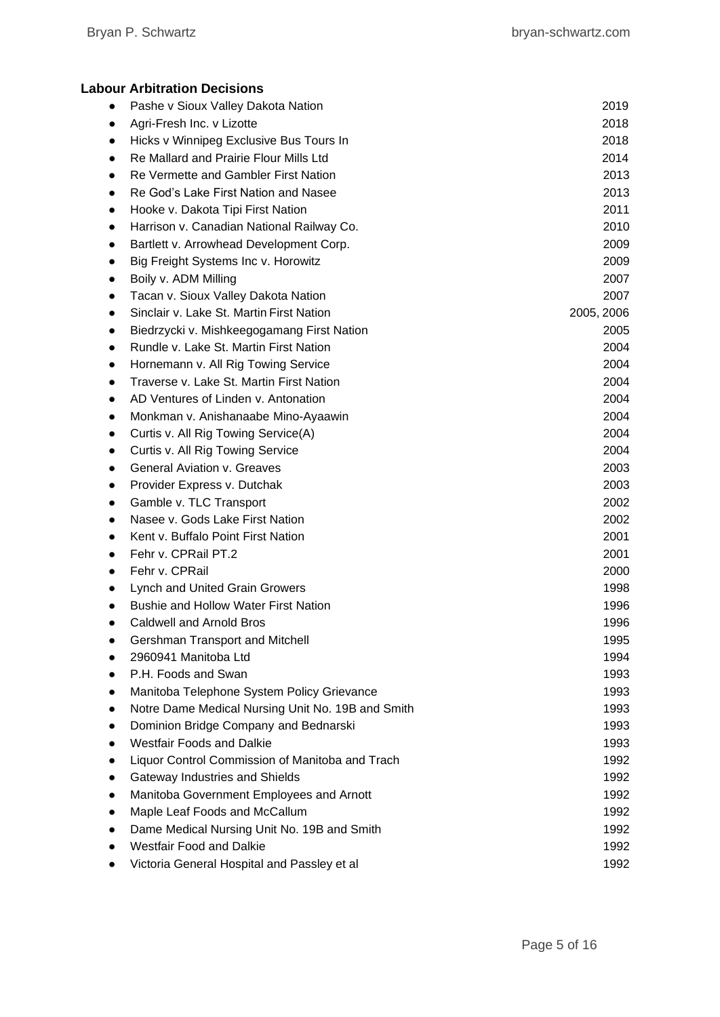# **Labour Arbitration Decisions**

|           | Pashe v Sioux Valley Dakota Nation                | 2019       |
|-----------|---------------------------------------------------|------------|
| $\bullet$ | Agri-Fresh Inc. v Lizotte                         | 2018       |
| $\bullet$ | Hicks v Winnipeg Exclusive Bus Tours In           | 2018       |
|           | Re Mallard and Prairie Flour Mills Ltd            | 2014       |
| $\bullet$ | Re Vermette and Gambler First Nation              | 2013       |
|           | Re God's Lake First Nation and Nasee              | 2013       |
| $\bullet$ | Hooke v. Dakota Tipi First Nation                 | 2011       |
| $\bullet$ | Harrison v. Canadian National Railway Co.         | 2010       |
| $\bullet$ | Bartlett v. Arrowhead Development Corp.           | 2009       |
| $\bullet$ | Big Freight Systems Inc v. Horowitz               | 2009       |
| ٠         | Boily v. ADM Milling                              | 2007       |
| $\bullet$ | Tacan v. Sioux Valley Dakota Nation               | 2007       |
| $\bullet$ | Sinclair v. Lake St. Martin First Nation          | 2005, 2006 |
| $\bullet$ | Biedrzycki v. Mishkeegogamang First Nation        | 2005       |
| $\bullet$ | Rundle v. Lake St. Martin First Nation            | 2004       |
| $\bullet$ | Hornemann v. All Rig Towing Service               | 2004       |
|           | Traverse v. Lake St. Martin First Nation          | 2004       |
| $\bullet$ | AD Ventures of Linden v. Antonation               | 2004       |
| $\bullet$ | Monkman v. Anishanaabe Mino-Ayaawin               | 2004       |
| $\bullet$ | Curtis v. All Rig Towing Service(A)               | 2004       |
| $\bullet$ | Curtis v. All Rig Towing Service                  | 2004       |
|           | <b>General Aviation v. Greaves</b>                | 2003       |
| $\bullet$ | Provider Express v. Dutchak                       | 2003       |
| $\bullet$ | Gamble v. TLC Transport                           | 2002       |
| $\bullet$ | Nasee v. Gods Lake First Nation                   | 2002       |
| $\bullet$ | Kent v. Buffalo Point First Nation                | 2001       |
|           | Fehr v. CPRail PT.2                               | 2001       |
| $\bullet$ | Fehr v. CPRail                                    | 2000       |
| $\bullet$ | Lynch and United Grain Growers                    | 1998       |
|           | <b>Bushie and Hollow Water First Nation</b>       | 1996       |
| ٠         | <b>Caldwell and Arnold Bros</b>                   | 1996       |
|           | Gershman Transport and Mitchell                   | 1995       |
|           | 2960941 Manitoba Ltd                              | 1994       |
| $\bullet$ | P.H. Foods and Swan                               | 1993       |
| $\bullet$ | Manitoba Telephone System Policy Grievance        | 1993       |
| $\bullet$ | Notre Dame Medical Nursing Unit No. 19B and Smith | 1993       |
| $\bullet$ | Dominion Bridge Company and Bednarski             | 1993       |
| $\bullet$ | <b>Westfair Foods and Dalkie</b>                  | 1993       |
| $\bullet$ | Liquor Control Commission of Manitoba and Trach   | 1992       |
| $\bullet$ | <b>Gateway Industries and Shields</b>             | 1992       |
| $\bullet$ | Manitoba Government Employees and Arnott          | 1992       |
| $\bullet$ | Maple Leaf Foods and McCallum                     | 1992       |
| $\bullet$ | Dame Medical Nursing Unit No. 19B and Smith       | 1992       |
|           | <b>Westfair Food and Dalkie</b>                   | 1992       |
| $\bullet$ | Victoria General Hospital and Passley et al       | 1992       |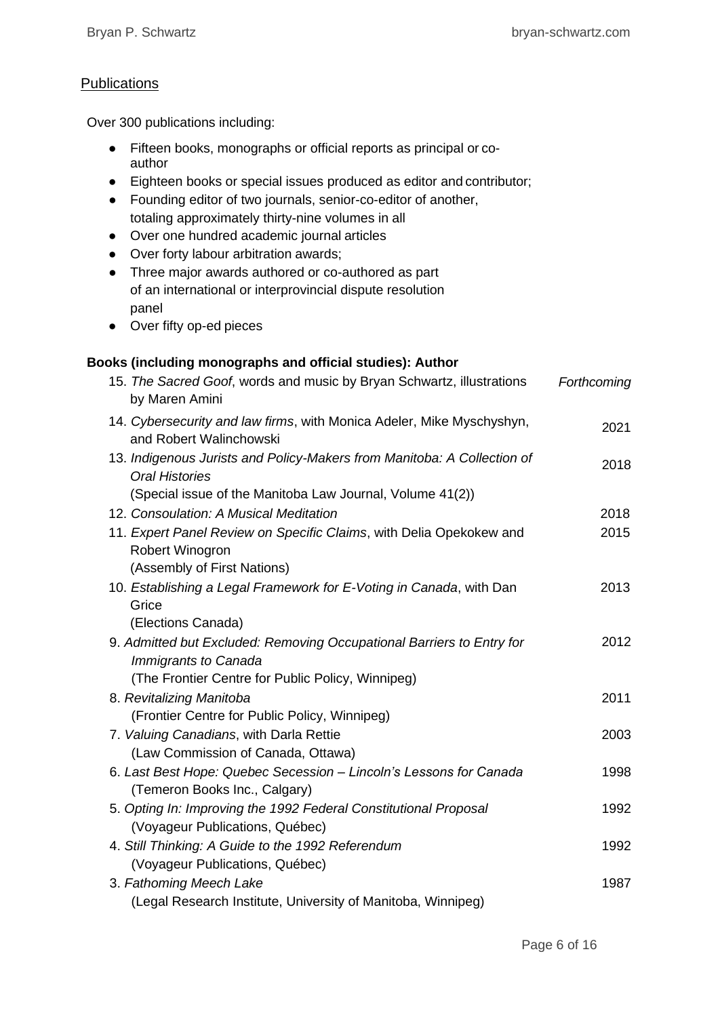# **Publications**

Over 300 publications including:

- Fifteen books, monographs or official reports as principal or coauthor
- Eighteen books or special issues produced as editor and contributor;
- Founding editor of two journals, senior-co-editor of another, totaling approximately thirty-nine volumes in all
- Over one hundred academic journal articles
- Over forty labour arbitration awards;
- Three major awards authored or co-authored as part of an international or interprovincial dispute resolution panel
- Over fifty op-ed pieces

### **Books (including monographs and official studies): Author**

| 15. The Sacred Goof, words and music by Bryan Schwartz, illustrations<br>by Maren Amini          | Forthcoming |
|--------------------------------------------------------------------------------------------------|-------------|
| 14. Cybersecurity and law firms, with Monica Adeler, Mike Myschyshyn,<br>and Robert Walinchowski | 2021        |
| 13. Indigenous Jurists and Policy-Makers from Manitoba: A Collection of<br><b>Oral Histories</b> | 2018        |
| (Special issue of the Manitoba Law Journal, Volume 41(2))                                        |             |
| 12. Consoulation: A Musical Meditation                                                           | 2018        |
| 11. Expert Panel Review on Specific Claims, with Delia Opekokew and<br>Robert Winogron           | 2015        |
| (Assembly of First Nations)                                                                      |             |
| 10. Establishing a Legal Framework for E-Voting in Canada, with Dan                              | 2013        |
| Grice                                                                                            |             |
| (Elections Canada)                                                                               |             |
| 9. Admitted but Excluded: Removing Occupational Barriers to Entry for<br>Immigrants to Canada    | 2012        |
| (The Frontier Centre for Public Policy, Winnipeg)                                                |             |
| 8. Revitalizing Manitoba                                                                         | 2011        |
| (Frontier Centre for Public Policy, Winnipeg)                                                    |             |
| 7. Valuing Canadians, with Darla Rettie                                                          | 2003        |
| (Law Commission of Canada, Ottawa)                                                               |             |
| 6. Last Best Hope: Quebec Secession - Lincoln's Lessons for Canada                               | 1998        |
| (Temeron Books Inc., Calgary)                                                                    |             |
| 5. Opting In: Improving the 1992 Federal Constitutional Proposal                                 | 1992        |
| (Voyageur Publications, Québec)                                                                  |             |
| 4. Still Thinking: A Guide to the 1992 Referendum                                                | 1992        |
| (Voyageur Publications, Québec)                                                                  |             |
| 3. Fathoming Meech Lake                                                                          | 1987        |
| (Legal Research Institute, University of Manitoba, Winnipeg)                                     |             |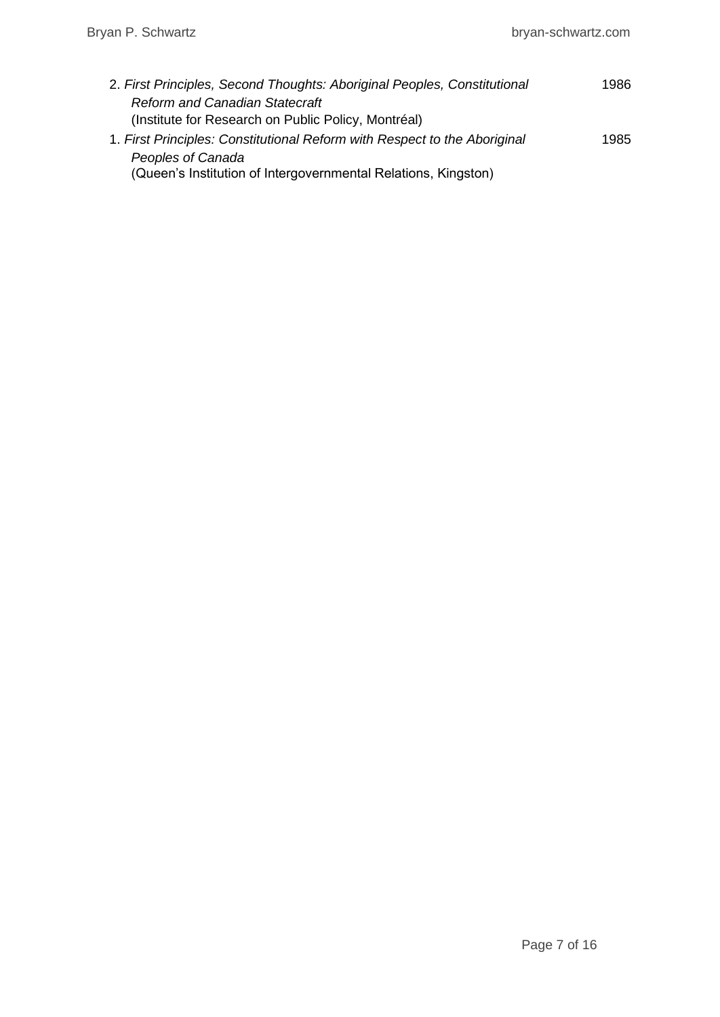| 2. First Principles, Second Thoughts: Aboriginal Peoples, Constitutional  | 1986 |
|---------------------------------------------------------------------------|------|
| <b>Reform and Canadian Statecraft</b>                                     |      |
| (Institute for Research on Public Policy, Montréal)                       |      |
| 1. First Principles: Constitutional Reform with Respect to the Aboriginal | 1985 |
| Peoples of Canada                                                         |      |
| (Queen's Institution of Intergovernmental Relations, Kingston)            |      |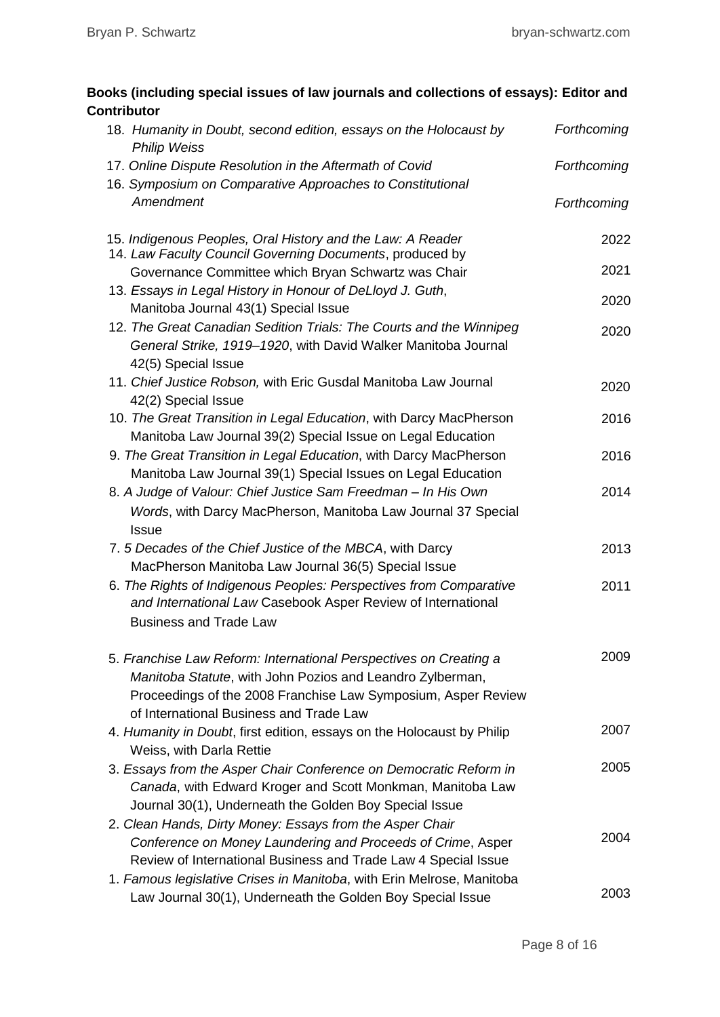# **Books (including special issues of law journals and collections of essays): Editor and Contributor**

| 18. Humanity in Doubt, second edition, essays on the Holocaust by<br><b>Philip Weiss</b>                                             | Forthcoming |
|--------------------------------------------------------------------------------------------------------------------------------------|-------------|
| 17. Online Dispute Resolution in the Aftermath of Covid                                                                              | Forthcoming |
| 16. Symposium on Comparative Approaches to Constitutional                                                                            |             |
| Amendment                                                                                                                            | Forthcoming |
| 15. Indigenous Peoples, Oral History and the Law: A Reader<br>14. Law Faculty Council Governing Documents, produced by               | 2022        |
| Governance Committee which Bryan Schwartz was Chair                                                                                  | 2021        |
| 13. Essays in Legal History in Honour of DeLloyd J. Guth,                                                                            | 2020        |
| Manitoba Journal 43(1) Special Issue                                                                                                 |             |
| 12. The Great Canadian Sedition Trials: The Courts and the Winnipeg<br>General Strike, 1919-1920, with David Walker Manitoba Journal | 2020        |
| 42(5) Special Issue                                                                                                                  |             |
| 11. Chief Justice Robson, with Eric Gusdal Manitoba Law Journal                                                                      | 2020        |
| 42(2) Special Issue<br>10. The Great Transition in Legal Education, with Darcy MacPherson                                            | 2016        |
| Manitoba Law Journal 39(2) Special Issue on Legal Education                                                                          |             |
| 9. The Great Transition in Legal Education, with Darcy MacPherson                                                                    | 2016        |
| Manitoba Law Journal 39(1) Special Issues on Legal Education                                                                         |             |
| 8. A Judge of Valour: Chief Justice Sam Freedman - In His Own                                                                        | 2014        |
| Words, with Darcy MacPherson, Manitoba Law Journal 37 Special                                                                        |             |
| <b>Issue</b>                                                                                                                         |             |
| 7. 5 Decades of the Chief Justice of the MBCA, with Darcy                                                                            | 2013        |
| MacPherson Manitoba Law Journal 36(5) Special Issue                                                                                  |             |
| 6. The Rights of Indigenous Peoples: Perspectives from Comparative<br>and International Law Casebook Asper Review of International   | 2011        |
| <b>Business and Trade Law</b>                                                                                                        |             |
| 5. Franchise Law Reform: International Perspectives on Creating a                                                                    | 2009        |
| Manitoba Statute, with John Pozios and Leandro Zylberman,                                                                            |             |
| Proceedings of the 2008 Franchise Law Symposium, Asper Review                                                                        |             |
| of International Business and Trade Law                                                                                              |             |
| 4. Humanity in Doubt, first edition, essays on the Holocaust by Philip                                                               | 2007        |
| Weiss, with Darla Rettie                                                                                                             |             |
| 3. Essays from the Asper Chair Conference on Democratic Reform in                                                                    | 2005        |
| Canada, with Edward Kroger and Scott Monkman, Manitoba Law                                                                           |             |
| Journal 30(1), Underneath the Golden Boy Special Issue                                                                               |             |
| 2. Clean Hands, Dirty Money: Essays from the Asper Chair                                                                             |             |
| Conference on Money Laundering and Proceeds of Crime, Asper                                                                          | 2004        |
| Review of International Business and Trade Law 4 Special Issue                                                                       |             |
| 1. Famous legislative Crises in Manitoba, with Erin Melrose, Manitoba                                                                |             |
| Law Journal 30(1), Underneath the Golden Boy Special Issue                                                                           | 2003        |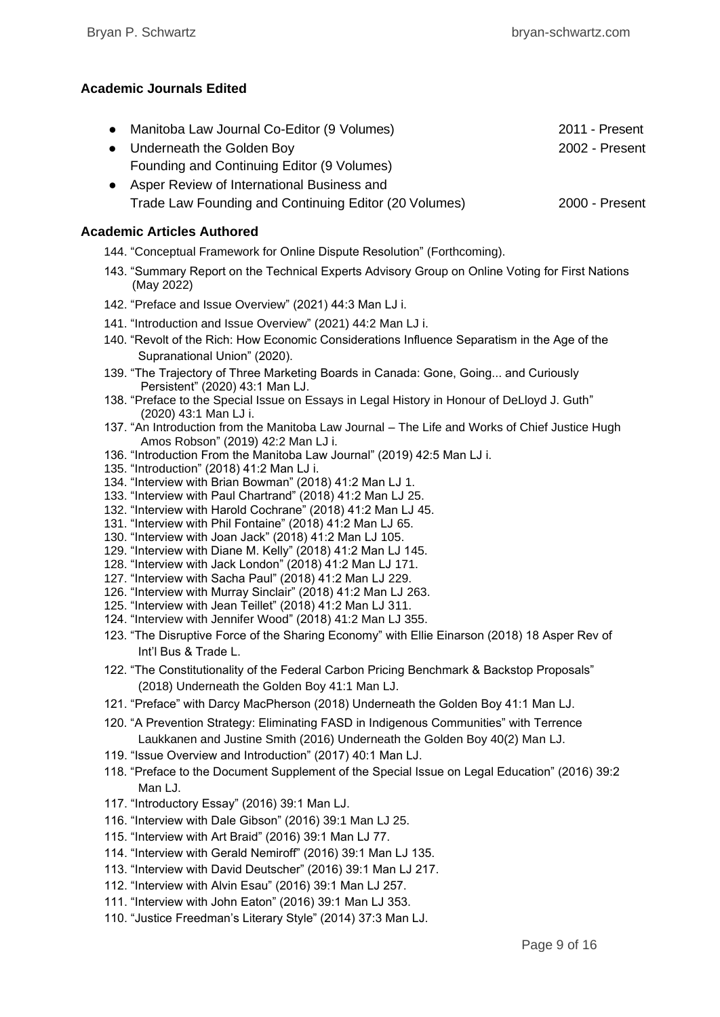#### **Academic Journals Edited**

|           | • Manitoba Law Journal Co-Editor (9 Volumes)          | 2011 - Present |
|-----------|-------------------------------------------------------|----------------|
|           | • Underneath the Golden Boy                           | 2002 - Present |
|           | Founding and Continuing Editor (9 Volumes)            |                |
| $\bullet$ | Asper Review of International Business and            |                |
|           | Trade Law Founding and Continuing Editor (20 Volumes) | 2000 - Present |
|           |                                                       |                |

#### **Academic Articles Authored**

- 144. "Conceptual Framework for Online Dispute Resolution" (Forthcoming).
- 143. "Summary Report on the Technical Experts Advisory Group on Online Voting for First Nations (May 2022)
- 142. "Preface and Issue Overview" (2021) 44:3 Man LJ i.
- 141. "Introduction and Issue Overview" (2021) 44:2 Man LJ i.
- 140. "Revolt of the Rich: How Economic Considerations Influence Separatism in the Age of the Supranational Union" (2020).
- 139. "The Trajectory of Three Marketing Boards in Canada: Gone, Going... and Curiously Persistent" (2020) 43:1 Man LJ.
- 138. "Preface to the Special Issue on Essays in Legal History in Honour of DeLloyd J. Guth" (2020) 43:1 Man LJ i.
- 137. "An Introduction from the Manitoba Law Journal The Life and Works of Chief Justice Hugh Amos Robson" (2019) 42:2 Man LJ i.
- 136. "Introduction From the Manitoba Law Journal" (2019) 42:5 Man LJ i.
- 135. "Introduction" (2018) 41:2 Man LJ i.
- 134. "Interview with Brian Bowman" (2018) 41:2 Man LJ 1.
- 133. "Interview with Paul Chartrand" (2018) 41:2 Man LJ 25.
- 132. "Interview with Harold Cochrane" (2018) 41:2 Man LJ 45.
- 131. "Interview with Phil Fontaine" (2018) 41:2 Man LJ 65.
- 130. "Interview with Joan Jack" (2018) 41:2 Man LJ 105.
- 129. "Interview with Diane M. Kelly" (2018) 41:2 Man LJ 145.
- 128. "Interview with Jack London" (2018) 41:2 Man LJ 171.
- 127. "Interview with Sacha Paul" (2018) 41:2 Man LJ 229.
- 126. "Interview with Murray Sinclair" (2018) 41:2 Man LJ 263.
- 125. "Interview with Jean Teillet" (2018) 41:2 Man LJ 311.
- 124. "Interview with Jennifer Wood" (2018) 41:2 Man LJ 355.
- 123. "The Disruptive Force of the Sharing Economy" with Ellie Einarson (2018) 18 Asper Rev of Int'l Bus & Trade L.
- 122. "The Constitutionality of the Federal Carbon Pricing Benchmark & Backstop Proposals" (2018) Underneath the Golden Boy 41:1 Man LJ.
- 121. "Preface" with Darcy MacPherson (2018) Underneath the Golden Boy 41:1 Man LJ.
- 120. "A Prevention Strategy: Eliminating FASD in Indigenous Communities" with Terrence Laukkanen and Justine Smith (2016) Underneath the Golden Boy 40(2) Man LJ.
- 119. "Issue Overview and Introduction" (2017) 40:1 Man LJ.
- 118. "Preface to the Document Supplement of the Special Issue on Legal Education" (2016) 39:2 Man LJ.
- 117. "Introductory Essay" (2016) 39:1 Man LJ.
- 116. "Interview with Dale Gibson" (2016) 39:1 Man LJ 25.
- 115. "Interview with Art Braid" (2016) 39:1 Man LJ 77.
- 114. "Interview with Gerald Nemiroff" (2016) 39:1 Man LJ 135.
- 113. "Interview with David Deutscher" (2016) 39:1 Man LJ 217.
- 112. "Interview with Alvin Esau" (2016) 39:1 Man LJ 257.
- 111. "Interview with John Eaton" (2016) 39:1 Man LJ 353.
- 110. "Justice Freedman's Literary Style" (2014) 37:3 Man LJ.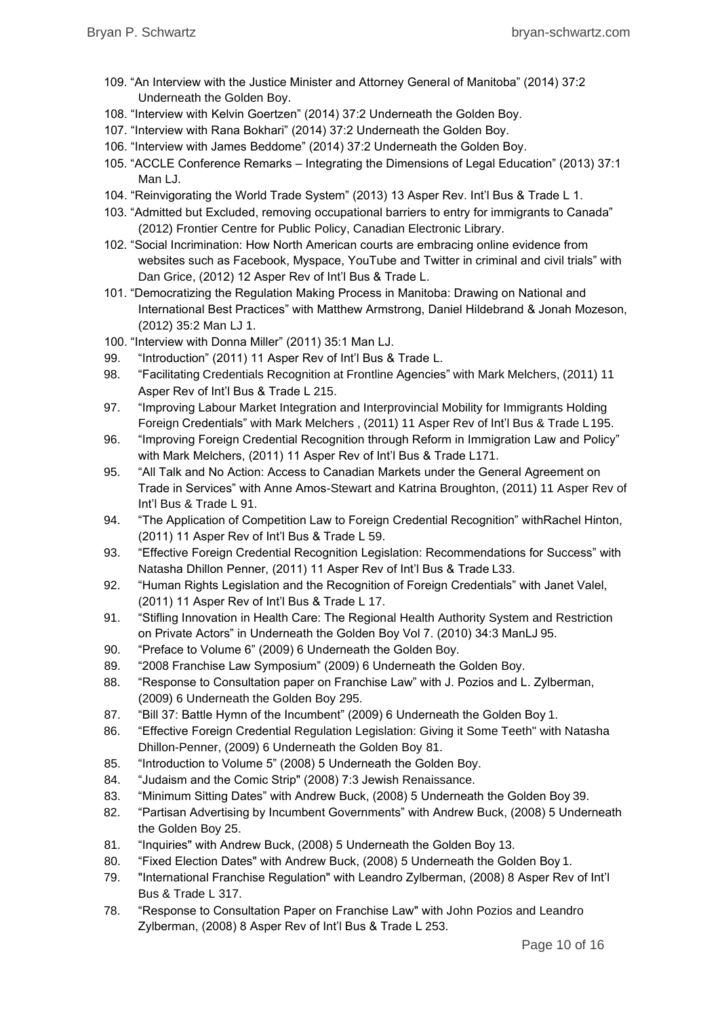- 109. "An Interview with the Justice Minister and Attorney General of Manitoba" (2014) 37:2 Underneath the Golden Boy.
- 108. "Interview with Kelvin Goertzen" (2014) 37:2 Underneath the Golden Boy.
- 107. "Interview with Rana Bokhari" (2014) 37:2 Underneath the Golden Boy.
- 106. "Interview with James Beddome" (2014) 37:2 Underneath the Golden Boy.
- 105. "ACCLE Conference Remarks Integrating the Dimensions of Legal Education" (2013) 37:1 Man LJ.
- 104. "Reinvigorating the World Trade System" (2013) 13 Asper Rev. Int'l Bus & Trade L 1.
- 103. "Admitted but Excluded, removing occupational barriers to entry for immigrants to Canada" (2012) Frontier Centre for Public Policy, Canadian Electronic Library.
- 102. "Social Incrimination: How North American courts are embracing online evidence from websites such as Facebook, Myspace, YouTube and Twitter in criminal and civil trials" with Dan Grice, (2012) 12 Asper Rev of Int'l Bus & Trade L.
- 101. "Democratizing the Regulation Making Process in Manitoba: Drawing on National and International Best Practices" with Matthew Armstrong, Daniel Hildebrand & Jonah Mozeson, (2012) 35:2 Man LJ 1.
- 100. "Interview with Donna Miller" (2011) 35:1 Man LJ.
- 99. "Introduction" (2011) 11 Asper Rev of Int'l Bus & Trade L.
- 98. "Facilitating Credentials Recognition at Frontline Agencies" with Mark Melchers, (2011) 11 Asper Rev of Int'l Bus & Trade L 215.
- 97. "Improving Labour Market Integration and Interprovincial Mobility for Immigrants Holding Foreign Credentials" with Mark Melchers , (2011) 11 Asper Rev of Int'l Bus & Trade L195.
- 96. "Improving Foreign Credential Recognition through Reform in Immigration Law and Policy" with Mark Melchers, (2011) 11 Asper Rev of Int'l Bus & Trade L171.
- 95. "All Talk and No Action: Access to Canadian Markets under the General Agreement on Trade in Services" with Anne Amos-Stewart and Katrina Broughton, (2011) 11 Asper Rev of Int'l Bus & Trade L 91.
- 94. "The Application of Competition Law to Foreign Credential Recognition" withRachel Hinton, (2011) 11 Asper Rev of Int'l Bus & Trade L 59.
- 93. "Effective Foreign Credential Recognition Legislation: Recommendations for Success" with Natasha Dhillon Penner, (2011) 11 Asper Rev of Int'l Bus & Trade L33.
- 92. "Human Rights Legislation and the Recognition of Foreign Credentials" with Janet Valel, (2011) 11 Asper Rev of Int'l Bus & Trade L 17.
- 91. "Stifling Innovation in Health Care: The Regional Health Authority System and Restriction on Private Actors" in Underneath the Golden Boy Vol 7. (2010) 34:3 ManLJ 95.
- 90. "Preface to Volume 6" (2009) 6 Underneath the Golden Boy.
- 89. "2008 Franchise Law Symposium" (2009) 6 Underneath the Golden Boy.
- 88. "Response to Consultation paper on Franchise Law" with J. Pozios and L. Zylberman, (2009) 6 Underneath the Golden Boy 295.
- 87. "Bill 37: Battle Hymn of the Incumbent" (2009) 6 Underneath the Golden Boy 1.
- 86. "Effective Foreign Credential Regulation Legislation: Giving it Some Teeth" with Natasha Dhillon-Penner, (2009) 6 Underneath the Golden Boy 81.
- 85. "Introduction to Volume 5" (2008) 5 Underneath the Golden Boy.
- 84. "Judaism and the Comic Strip" (2008) 7:3 Jewish Renaissance.
- 83. "Minimum Sitting Dates" with Andrew Buck, (2008) 5 Underneath the Golden Boy 39.
- 82. "Partisan Advertising by Incumbent Governments" with Andrew Buck, (2008) 5 Underneath the Golden Boy 25.
- 81. "Inquiries" with Andrew Buck, (2008) 5 Underneath the Golden Boy 13.
- 80. "Fixed Election Dates" with Andrew Buck, (2008) 5 Underneath the Golden Boy 1.
- 79. "International Franchise Regulation" with Leandro Zylberman, (2008) 8 Asper Rev of Int'l Bus & Trade L 317.
- 78. "Response to Consultation Paper on Franchise Law" with John Pozios and Leandro Zylberman, (2008) 8 Asper Rev of Int'l Bus & Trade L 253.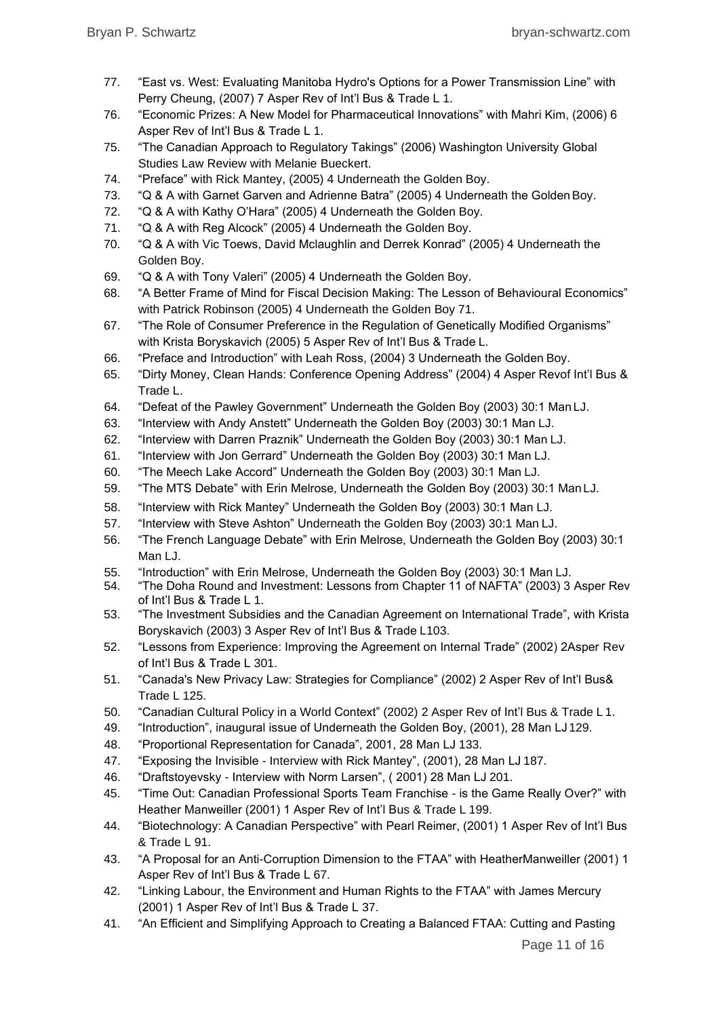- 77. "East vs. West: Evaluating Manitoba Hydro's Options for a Power Transmission Line" with Perry Cheung, (2007) 7 Asper Rev of Int'l Bus & Trade L 1.
- 76. "Economic Prizes: A New Model for Pharmaceutical Innovations" with Mahri Kim, (2006) 6 Asper Rev of Int'l Bus & Trade L 1.
- 75. "The Canadian Approach to Regulatory Takings" (2006) Washington University Global Studies Law Review with Melanie Bueckert.
- 74. "Preface" with Rick Mantey, (2005) 4 Underneath the Golden Boy.
- 73. "Q & A with Garnet Garven and Adrienne Batra" (2005) 4 Underneath the GoldenBoy.
- 72. "Q & A with Kathy O'Hara" (2005) 4 Underneath the Golden Boy.
- 71. "Q & A with Reg Alcock" (2005) 4 Underneath the Golden Boy.
- 70. "Q & A with Vic Toews, David Mclaughlin and Derrek Konrad" (2005) 4 Underneath the Golden Boy.
- 69. "Q & A with Tony Valeri" (2005) 4 Underneath the Golden Boy.
- 68. "A Better Frame of Mind for Fiscal Decision Making: The Lesson of Behavioural Economics" with Patrick Robinson (2005) 4 Underneath the Golden Boy 71.
- 67. "The Role of Consumer Preference in the Regulation of Genetically Modified Organisms" with Krista Boryskavich (2005) 5 Asper Rev of Int'l Bus & Trade L.
- 66. "Preface and Introduction" with Leah Ross, (2004) 3 Underneath the Golden Boy.
- 65. "Dirty Money, Clean Hands: Conference Opening Address" (2004) 4 Asper Revof Int'l Bus & Trade L.
- 64. "Defeat of the Pawley Government" Underneath the Golden Boy (2003) 30:1 Man LJ.
- 63. "Interview with Andy Anstett" Underneath the Golden Boy (2003) 30:1 Man LJ.
- 62. "Interview with Darren Praznik" Underneath the Golden Boy (2003) 30:1 Man LJ.
- 61. "Interview with Jon Gerrard" Underneath the Golden Boy (2003) 30:1 Man LJ.
- 60. "The Meech Lake Accord" Underneath the Golden Boy (2003) 30:1 Man LJ.
- 59. "The MTS Debate" with Erin Melrose, Underneath the Golden Boy (2003) 30:1 Man LJ.
- 58. "Interview with Rick Mantey" Underneath the Golden Boy (2003) 30:1 Man LJ.
- 57. "Interview with Steve Ashton" Underneath the Golden Boy (2003) 30:1 Man LJ.
- 56. "The French Language Debate" with Erin Melrose, Underneath the Golden Boy (2003) 30:1 Man LJ.
- 55. "Introduction" with Erin Melrose, Underneath the Golden Boy (2003) 30:1 Man LJ.
- 54. "The Doha Round and Investment: Lessons from Chapter 11 of NAFTA" (2003) 3 Asper Rev of Int'l Bus & Trade L 1.
- 53. "The Investment Subsidies and the Canadian Agreement on International Trade", with Krista Boryskavich (2003) 3 Asper Rev of Int'l Bus & Trade L103.
- 52. "Lessons from Experience: Improving the Agreement on Internal Trade" (2002) 2Asper Rev of Int'l Bus & Trade L 301.
- 51. "Canada's New Privacy Law: Strategies for Compliance" (2002) 2 Asper Rev of Int'l Bus& Trade L 125.
- 50. "Canadian Cultural Policy in a World Context" (2002) 2 Asper Rev of Int'l Bus & Trade L 1.
- 49. "Introduction", inaugural issue of Underneath the Golden Boy, (2001), 28 Man LJ129.
- 48. "Proportional Representation for Canada", 2001, 28 Man LJ 133.
- 47. "Exposing the Invisible Interview with Rick Mantey", (2001), 28 Man LJ 187.
- 46. "Draftstoyevsky Interview with Norm Larsen", ( 2001) 28 Man LJ 201.
- 45. "Time Out: Canadian Professional Sports Team Franchise is the Game Really Over?" with Heather Manweiller (2001) 1 Asper Rev of Int'l Bus & Trade L 199.
- 44. "Biotechnology: A Canadian Perspective" with Pearl Reimer, (2001) 1 Asper Rev of Int'l Bus & Trade L 91.
- 43. "A Proposal for an Anti-Corruption Dimension to the FTAA" with HeatherManweiller (2001) 1 Asper Rev of Int'l Bus & Trade L 67.
- 42. "Linking Labour, the Environment and Human Rights to the FTAA" with James Mercury (2001) 1 Asper Rev of Int'l Bus & Trade L 37.
- 41. "An Efficient and Simplifying Approach to Creating a Balanced FTAA: Cutting and Pasting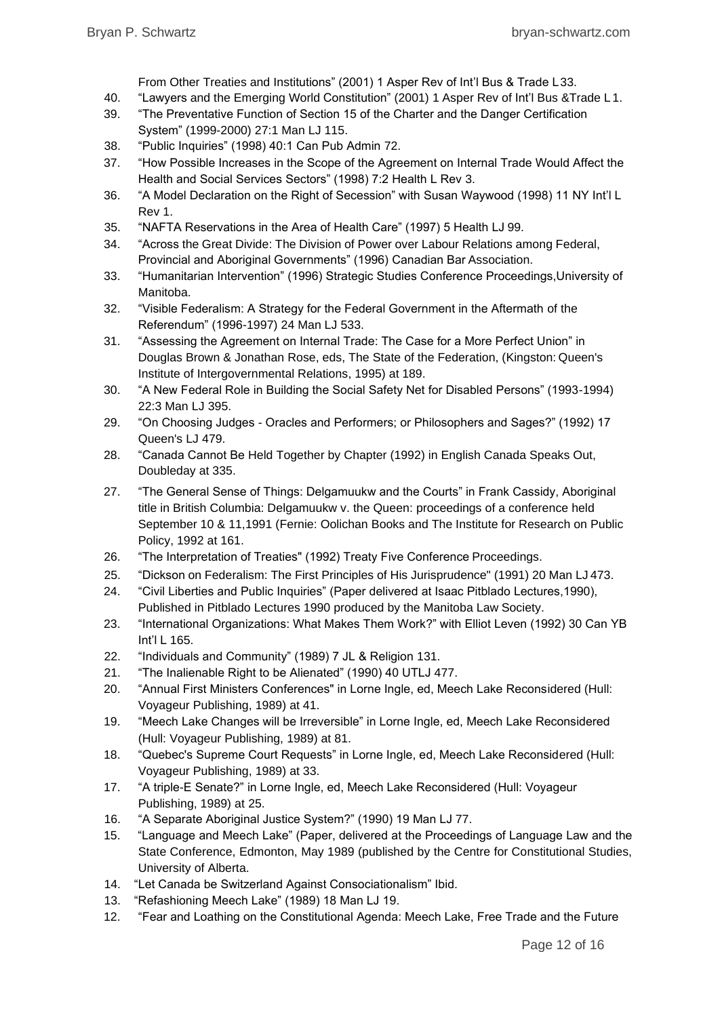From Other Treaties and Institutions" (2001) 1 Asper Rev of Int'l Bus & Trade L33.

- 40. "Lawyers and the Emerging World Constitution" (2001) 1 Asper Rev of Int'l Bus &Trade L 1.
- 39. "The Preventative Function of Section 15 of the Charter and the Danger Certification System" (1999-2000) 27:1 Man LJ 115.
- 38. "Public Inquiries" (1998) 40:1 Can Pub Admin 72.
- 37. "How Possible Increases in the Scope of the Agreement on Internal Trade Would Affect the Health and Social Services Sectors" (1998) 7:2 Health L Rev 3.
- 36. "A Model Declaration on the Right of Secession" with Susan Waywood (1998) 11 NY Int'l L Rev 1.
- 35. "NAFTA Reservations in the Area of Health Care" (1997) 5 Health LJ 99.
- 34. "Across the Great Divide: The Division of Power over Labour Relations among Federal, Provincial and Aboriginal Governments" (1996) Canadian Bar Association.
- 33. "Humanitarian Intervention" (1996) Strategic Studies Conference Proceedings,University of Manitoba.
- 32. "Visible Federalism: A Strategy for the Federal Government in the Aftermath of the Referendum" (1996-1997) 24 Man LJ 533.
- 31. "Assessing the Agreement on Internal Trade: The Case for a More Perfect Union" in Douglas Brown & Jonathan Rose, eds, The State of the Federation, (Kingston: Queen's Institute of Intergovernmental Relations, 1995) at 189.
- 30. "A New Federal Role in Building the Social Safety Net for Disabled Persons" (1993-1994) 22:3 Man LJ 395.
- 29. "On Choosing Judges Oracles and Performers; or Philosophers and Sages?" (1992) 17 Queen's LJ 479.
- 28. "Canada Cannot Be Held Together by Chapter (1992) in English Canada Speaks Out, Doubleday at 335.
- 27. "The General Sense of Things: Delgamuukw and the Courts" in Frank Cassidy, Aboriginal title in British Columbia: Delgamuukw v. the Queen: proceedings of a conference held September 10 & 11,1991 (Fernie: Oolichan Books and The Institute for Research on Public Policy, 1992 at 161.
- 26. "The Interpretation of Treaties" (1992) Treaty Five Conference Proceedings.
- 25. "Dickson on Federalism: The First Principles of His Jurisprudence" (1991) 20 Man LJ 473.
- 24. "Civil Liberties and Public Inquiries" (Paper delivered at Isaac Pitblado Lectures,1990), Published in Pitblado Lectures 1990 produced by the Manitoba Law Society.
- 23. "International Organizations: What Makes Them Work?" with Elliot Leven (1992) 30 Can YB Int'l L 165.
- 22. "Individuals and Community" (1989) 7 JL & Religion 131.
- 21. "The Inalienable Right to be Alienated" (1990) 40 UTLJ 477.
- 20. "Annual First Ministers Conferences" in Lorne Ingle, ed, Meech Lake Reconsidered (Hull: Voyageur Publishing, 1989) at 41.
- 19. "Meech Lake Changes will be Irreversible" in Lorne Ingle, ed, Meech Lake Reconsidered (Hull: Voyageur Publishing, 1989) at 81.
- 18. "Quebec's Supreme Court Requests" in Lorne Ingle, ed, Meech Lake Reconsidered (Hull: Voyageur Publishing, 1989) at 33.
- 17. "A triple-E Senate?" in Lorne Ingle, ed, Meech Lake Reconsidered (Hull: Voyageur Publishing, 1989) at 25.
- 16. "A Separate Aboriginal Justice System?" (1990) 19 Man LJ 77.
- 15. "Language and Meech Lake" (Paper, delivered at the Proceedings of Language Law and the State Conference, Edmonton, May 1989 (published by the Centre for Constitutional Studies, University of Alberta.
- 14. "Let Canada be Switzerland Against Consociationalism" Ibid.
- 13. "Refashioning Meech Lake" (1989) 18 Man LJ 19.
- 12. "Fear and Loathing on the Constitutional Agenda: Meech Lake, Free Trade and the Future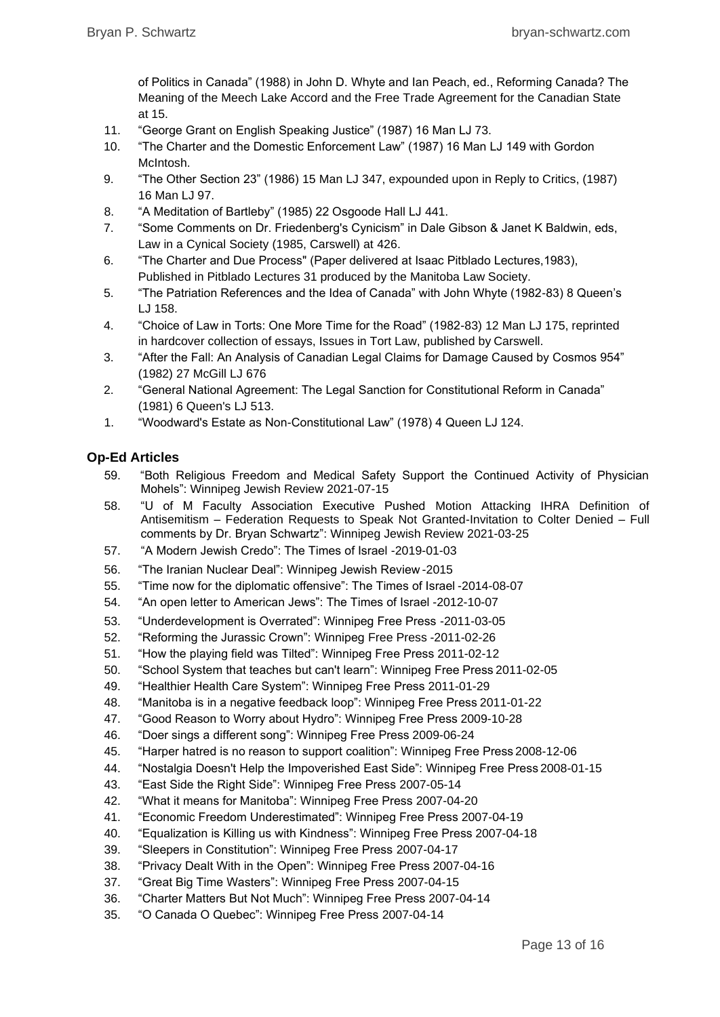of Politics in Canada" (1988) in John D. Whyte and Ian Peach, ed., Reforming Canada? The Meaning of the Meech Lake Accord and the Free Trade Agreement for the Canadian State at 15.

- 11. "George Grant on English Speaking Justice" (1987) 16 Man LJ 73.
- 10. "The Charter and the Domestic Enforcement Law" (1987) 16 Man LJ 149 with Gordon McIntosh.
- 9. "The Other Section 23" (1986) 15 Man LJ 347, expounded upon in Reply to Critics, (1987) 16 Man LJ 97.
- 8. "A Meditation of Bartleby" (1985) 22 Osgoode Hall LJ 441.
- 7. "Some Comments on Dr. Friedenberg's Cynicism" in Dale Gibson & Janet K Baldwin, eds, Law in a Cynical Society (1985, Carswell) at 426.
- 6. "The Charter and Due Process" (Paper delivered at Isaac Pitblado Lectures,1983), Published in Pitblado Lectures 31 produced by the Manitoba Law Society.
- 5. "The Patriation References and the Idea of Canada" with John Whyte (1982-83) 8 Queen's LJ 158.
- 4. "Choice of Law in Torts: One More Time for the Road" (1982-83) 12 Man LJ 175, reprinted in hardcover collection of essays, Issues in Tort Law, published by Carswell.
- 3. "After the Fall: An Analysis of Canadian Legal Claims for Damage Caused by Cosmos 954" (1982) 27 McGill LJ 676
- 2. "General National Agreement: The Legal Sanction for Constitutional Reform in Canada" (1981) 6 Queen's LJ 513.
- 1. "Woodward's Estate as Non-Constitutional Law" (1978) 4 Queen LJ 124.

### **Op-Ed Articles**

- 59. "Both Religious Freedom and Medical Safety Support the Continued Activity of Physician Mohels": Winnipeg Jewish Review 2021-07-15
- 58. "U of M Faculty Association Executive Pushed Motion Attacking IHRA Definition of Antisemitism – Federation Requests to Speak Not Granted-Invitation to Colter Denied – Full comments by Dr. Bryan Schwartz": Winnipeg Jewish Review 2021-03-25
- 57. "A Modern Jewish Credo": The Times of Israel -2019-01-03
- 56. "The Iranian Nuclear Deal": Winnipeg Jewish Review -2015
- 55. "Time now for the diplomatic offensive": The Times of Israel -2014-08-07
- 54. "An open letter to American Jews": The Times of Israel -2012-10-07
- 53. "Underdevelopment is Overrated": Winnipeg Free Press -2011-03-05
- 52. "Reforming the Jurassic Crown": Winnipeg Free Press -2011-02-26
- 51. "How the playing field was Tilted": Winnipeg Free Press 2011-02-12
- 50. "School System that teaches but can't learn": Winnipeg Free Press 2011-02-05
- 49. "Healthier Health Care System": Winnipeg Free Press 2011-01-29
- 48. "Manitoba is in a negative feedback loop": Winnipeg Free Press 2011-01-22
- 47. "Good Reason to Worry about Hydro": Winnipeg Free Press 2009-10-28
- 46. "Doer sings a different song": Winnipeg Free Press 2009-06-24
- 45. "Harper hatred is no reason to support coalition": Winnipeg Free Press 2008-12-06
- 44. "Nostalgia Doesn't Help the Impoverished East Side": Winnipeg Free Press 2008-01-15
- 43. "East Side the Right Side": Winnipeg Free Press 2007-05-14
- 42. "What it means for Manitoba": Winnipeg Free Press 2007-04-20
- 41. "Economic Freedom Underestimated": Winnipeg Free Press 2007-04-19
- 40. "Equalization is Killing us with Kindness": Winnipeg Free Press 2007-04-18
- 39. "Sleepers in Constitution": Winnipeg Free Press 2007-04-17
- 38. "Privacy Dealt With in the Open": Winnipeg Free Press 2007-04-16
- 37. "Great Big Time Wasters": Winnipeg Free Press 2007-04-15
- 36. "Charter Matters But Not Much": Winnipeg Free Press 2007-04-14
- 35. "O Canada O Quebec": Winnipeg Free Press 2007-04-14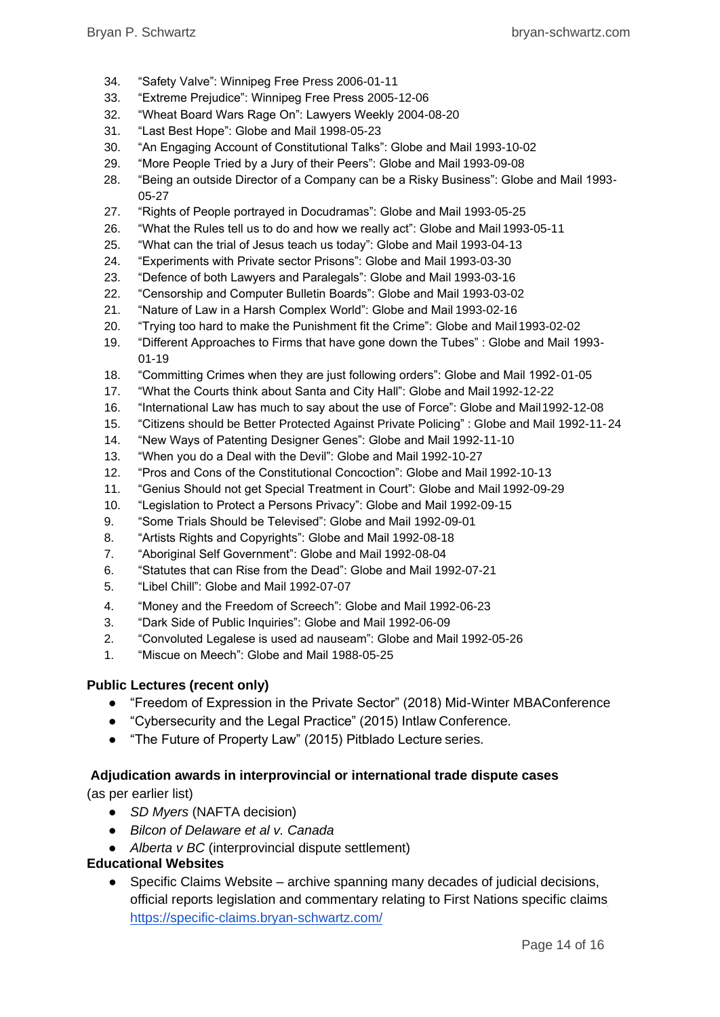- 34. "Safety Valve": Winnipeg Free Press 2006-01-11
- 33. "Extreme Prejudice": Winnipeg Free Press 2005-12-06
- 32. "Wheat Board Wars Rage On": Lawyers Weekly 2004-08-20
- 31. "Last Best Hope": Globe and Mail 1998-05-23
- 30. "An Engaging Account of Constitutional Talks": Globe and Mail 1993-10-02
- 29. "More People Tried by a Jury of their Peers": Globe and Mail 1993-09-08
- 28. "Being an outside Director of a Company can be a Risky Business": Globe and Mail 1993- 05-27
- 27. "Rights of People portrayed in Docudramas": Globe and Mail 1993-05-25
- 26. "What the Rules tell us to do and how we really act": Globe and Mail 1993-05-11
- 25. "What can the trial of Jesus teach us today": Globe and Mail 1993-04-13
- 24. "Experiments with Private sector Prisons": Globe and Mail 1993-03-30
- 23. "Defence of both Lawyers and Paralegals": Globe and Mail 1993-03-16
- 22. "Censorship and Computer Bulletin Boards": Globe and Mail 1993-03-02
- 21. "Nature of Law in a Harsh Complex World": Globe and Mail 1993-02-16
- 20. "Trying too hard to make the Punishment fit the Crime": Globe and Mail1993-02-02
- 19. "Different Approaches to Firms that have gone down the Tubes" : Globe and Mail 1993- 01-19
- 18. "Committing Crimes when they are just following orders": Globe and Mail 1992-01-05
- 17. "What the Courts think about Santa and City Hall": Globe and Mail 1992-12-22
- 16. "International Law has much to say about the use of Force": Globe and Mail1992-12-08
- 15. "Citizens should be Better Protected Against Private Policing" : Globe and Mail 1992-11-24
- 14. "New Ways of Patenting Designer Genes": Globe and Mail 1992-11-10
- 13. "When you do a Deal with the Devil": Globe and Mail 1992-10-27
- 12. "Pros and Cons of the Constitutional Concoction": Globe and Mail 1992-10-13
- 11. "Genius Should not get Special Treatment in Court": Globe and Mail 1992-09-29
- 10. "Legislation to Protect a Persons Privacy": Globe and Mail 1992-09-15
- 9. "Some Trials Should be Televised": Globe and Mail 1992-09-01
- 8. "Artists Rights and Copyrights": Globe and Mail 1992-08-18
- 7. "Aboriginal Self Government": Globe and Mail 1992-08-04
- 6. "Statutes that can Rise from the Dead": Globe and Mail 1992-07-21
- 5. "Libel Chill": Globe and Mail 1992-07-07
- 4. "Money and the Freedom of Screech": Globe and Mail 1992-06-23
- 3. "Dark Side of Public Inquiries": Globe and Mail 1992-06-09
- 2. "Convoluted Legalese is used ad nauseam": Globe and Mail 1992-05-26
- 1. "Miscue on Meech": Globe and Mail 1988-05-25

#### **Public Lectures (recent only)**

- "Freedom of Expression in the Private Sector" (2018) Mid-Winter MBAConference
- "Cybersecurity and the Legal Practice" (2015) Intlaw Conference.
- "The Future of Property Law" (2015) Pitblado Lecture series.

#### **Adjudication awards in interprovincial or international trade dispute cases**

(as per earlier list)

- *SD Myers* (NAFTA decision)
- *● Bilcon of Delaware et al v. Canada*
- *Alberta v BC* (interprovincial dispute settlement)

#### **Educational Websites**

● Specific Claims Website – archive spanning many decades of judicial decisions, official reports legislation and commentary relating to First Nations specific claims <https://specific-claims.bryan-schwartz.com/>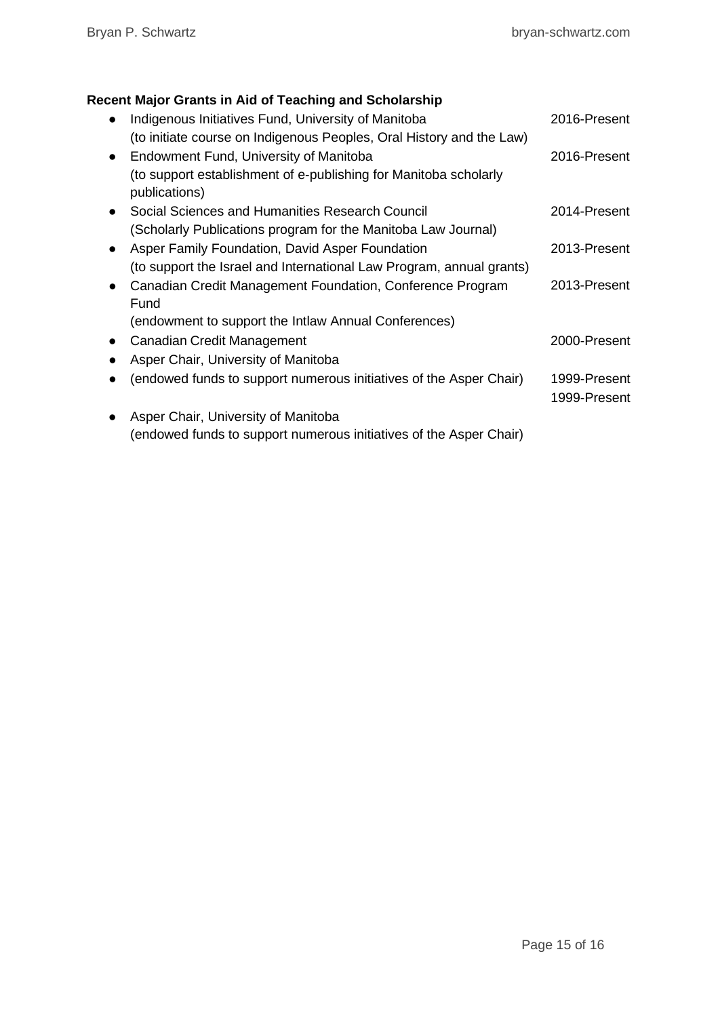# **Recent Major Grants in Aid of Teaching and Scholarship**

|           | Indigenous Initiatives Fund, University of Manitoba                  | 2016-Present |
|-----------|----------------------------------------------------------------------|--------------|
|           | (to initiate course on Indigenous Peoples, Oral History and the Law) |              |
| $\bullet$ | Endowment Fund, University of Manitoba                               | 2016-Present |
|           | (to support establishment of e-publishing for Manitoba scholarly     |              |
|           | publications)                                                        |              |
| $\bullet$ | Social Sciences and Humanities Research Council                      | 2014-Present |
|           | (Scholarly Publications program for the Manitoba Law Journal)        |              |
| $\bullet$ | Asper Family Foundation, David Asper Foundation                      | 2013-Present |
|           | (to support the Israel and International Law Program, annual grants) |              |
| $\bullet$ | Canadian Credit Management Foundation, Conference Program            | 2013-Present |
|           | Fund                                                                 |              |
|           | (endowment to support the Intlaw Annual Conferences)                 |              |
| $\bullet$ | Canadian Credit Management                                           | 2000-Present |
|           | Asper Chair, University of Manitoba                                  |              |
|           | (endowed funds to support numerous initiatives of the Asper Chair)   | 1999-Present |
|           |                                                                      | 1999-Present |
|           | Asper Chair, University of Manitoba                                  |              |
|           | (endowed funds to support numerous initiatives of the Asper Chair)   |              |
|           |                                                                      |              |